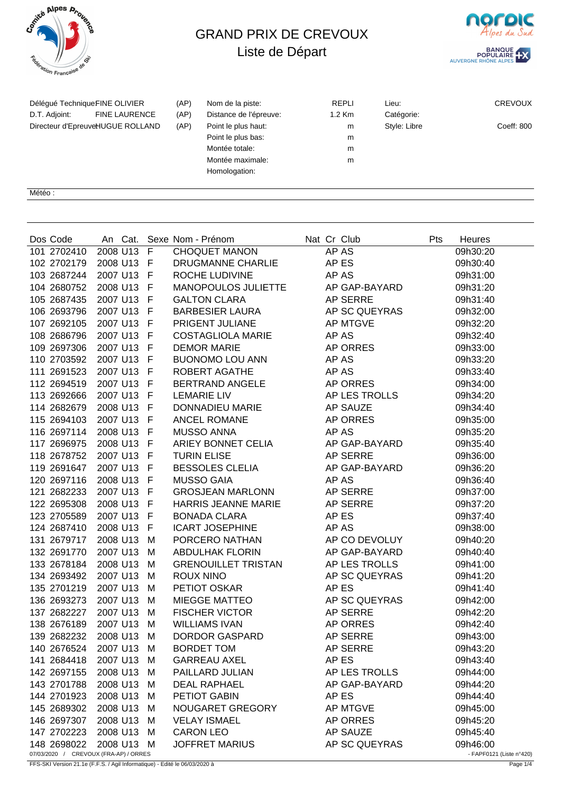

## GRAND PRIX DE CREVOUX Liste de Départ



| Délégué TechniqueFINE OLIVIER<br>D.T. Adjoint: | <b>FINE LAURENCE</b> | (AP)<br>(AP) | Nom de la piste:<br>Distance de l'épreuve: | <b>REPLI</b><br>$1.2$ Km | Lieu:<br>Catégorie: | <b>CREVOUX</b> |
|------------------------------------------------|----------------------|--------------|--------------------------------------------|--------------------------|---------------------|----------------|
| Directeur d'EpreuveHUGUE ROLLAND               |                      | (AP)         | Point le plus haut:                        | m                        | Style: Libre        | Coeff: 800     |
|                                                |                      |              | Point le plus bas:                         | m                        |                     |                |
|                                                |                      |              | Montée totale:                             | m                        |                     |                |
|                                                |                      |              | Montée maximale:                           | m                        |                     |                |
|                                                |                      |              | Homologation:                              |                          |                     |                |
|                                                |                      |              |                                            |                          |                     |                |

Météo :

| Dos Code                                             |            |   | An Cat. Sexe Nom - Prénom  | Nat Cr Club     | Pts<br>Heures                        |
|------------------------------------------------------|------------|---|----------------------------|-----------------|--------------------------------------|
| 101 2702410                                          | 2008 U13   | F | <b>CHOQUET MANON</b>       | AP AS           | 09h30:20                             |
| 102 2702179                                          | 2008 U13 F |   | DRUGMANNE CHARLIE          | AP ES           | 09h30:40                             |
| 103 2687244                                          | 2007 U13 F |   | ROCHE LUDIVINE             | AP AS           | 09h31:00                             |
| 104 2680752                                          | 2008 U13 F |   | MANOPOULOS JULIETTE        | AP GAP-BAYARD   | 09h31:20                             |
| 105 2687435                                          | 2007 U13 F |   | <b>GALTON CLARA</b>        | <b>AP SERRE</b> | 09h31:40                             |
| 106 2693796                                          | 2007 U13 F |   | <b>BARBESIER LAURA</b>     | AP SC QUEYRAS   | 09h32:00                             |
| 107 2692105                                          | 2007 U13 F |   | PRIGENT JULIANE            | <b>AP MTGVE</b> | 09h32:20                             |
| 108 2686796                                          | 2007 U13 F |   | <b>COSTAGLIOLA MARIE</b>   | AP AS           | 09h32:40                             |
| 109 2697306                                          | 2007 U13 F |   | <b>DEMOR MARIE</b>         | AP ORRES        | 09h33:00                             |
| 110 2703592                                          | 2007 U13 F |   | <b>BUONOMO LOU ANN</b>     | AP AS           | 09h33:20                             |
| 111 2691523                                          | 2007 U13 F |   | ROBERT AGATHE              | AP AS           | 09h33:40                             |
| 112 2694519                                          | 2007 U13 F |   | BERTRAND ANGELE            | AP ORRES        | 09h34:00                             |
| 113 2692666                                          | 2007 U13 F |   | <b>LEMARIE LIV</b>         | AP LES TROLLS   | 09h34:20                             |
| 114 2682679                                          | 2008 U13 F |   | DONNADIEU MARIE            | AP SAUZE        | 09h34:40                             |
| 115 2694103                                          | 2007 U13 F |   | ANCEL ROMANE               | AP ORRES        | 09h35:00                             |
| 116 2697114                                          | 2008 U13 F |   | <b>MUSSO ANNA</b>          | AP AS           | 09h35:20                             |
| 117 2696975                                          | 2008 U13 F |   | ARIEY BONNET CELIA         | AP GAP-BAYARD   | 09h35:40                             |
| 118 2678752                                          | 2007 U13 F |   | <b>TURIN ELISE</b>         | <b>AP SERRE</b> | 09h36:00                             |
| 119 2691647                                          | 2007 U13 F |   | <b>BESSOLES CLELIA</b>     | AP GAP-BAYARD   | 09h36:20                             |
| 120 2697116                                          | 2008 U13 F |   | <b>MUSSO GAIA</b>          | AP AS           | 09h36:40                             |
| 121 2682233                                          | 2007 U13 F |   | <b>GROSJEAN MARLONN</b>    | AP SERRE        | 09h37:00                             |
| 122 2695308                                          | 2008 U13 F |   | HARRIS JEANNE MARIE        | AP SERRE        | 09h37:20                             |
| 123 2705589                                          | 2007 U13 F |   | <b>BONADA CLARA</b>        | AP ES           | 09h37:40                             |
| 124 2687410                                          | 2008 U13 F |   | <b>ICART JOSEPHINE</b>     | AP AS           | 09h38:00                             |
| 131 2679717                                          | 2008 U13   | M | PORCERO NATHAN             | AP CO DEVOLUY   | 09h40:20                             |
| 132 2691770                                          | 2007 U13   | M | <b>ABDULHAK FLORIN</b>     | AP GAP-BAYARD   | 09h40:40                             |
| 133 2678184                                          | 2008 U13   | M | <b>GRENOUILLET TRISTAN</b> | AP LES TROLLS   | 09h41:00                             |
| 134 2693492                                          | 2007 U13   | M | <b>ROUX NINO</b>           | AP SC QUEYRAS   | 09h41:20                             |
| 135 2701219                                          | 2007 U13   | M | PETIOT OSKAR               | AP ES           | 09h41:40                             |
| 136 2693273                                          | 2007 U13   | M | MIEGGE MATTEO              | AP SC QUEYRAS   | 09h42:00                             |
| 137 2682227                                          | 2007 U13   | M | <b>FISCHER VICTOR</b>      | AP SERRE        | 09h42:20                             |
| 138 2676189                                          | 2007 U13   | M | <b>WILLIAMS IVAN</b>       | AP ORRES        | 09h42:40                             |
| 139 2682232                                          | 2008 U13   | M | <b>DORDOR GASPARD</b>      | AP SERRE        | 09h43:00                             |
| 140 2676524                                          | 2007 U13 M |   | <b>BORDET TOM</b>          | AP SERRE        | 09h43:20                             |
| 141 2684418                                          | 2007 U13   | M | <b>GARREAU AXEL</b>        | AP ES           | 09h43:40                             |
| 142 2697155                                          | 2008 U13   | M | PAILLARD JULIAN            | AP LES TROLLS   | 09h44:00                             |
| 143 2701788                                          | 2008 U13   | м | <b>DEAL RAPHAEL</b>        | AP GAP-BAYARD   | 09h44:20                             |
| 144 2701923                                          | 2008 U13   | M | PETIOT GABIN               | AP ES           | 09h44:40                             |
| 145 2689302                                          | 2008 U13   | M | <b>NOUGARET GREGORY</b>    | <b>AP MTGVE</b> | 09h45:00                             |
| 146 2697307                                          | 2008 U13   | M | <b>VELAY ISMAEL</b>        | AP ORRES        | 09h45:20                             |
| 147 2702223                                          | 2008 U13   | M | <b>CARON LEO</b>           | <b>AP SAUZE</b> | 09h45:40                             |
| 148 2698022<br>07/03/2020 / CREVOUX (FRA-AP) / ORRES | 2008 U13   | м | <b>JOFFRET MARIUS</b>      | AP SC QUEYRAS   | 09h46:00<br>- FAPF0121 (Liste n°420) |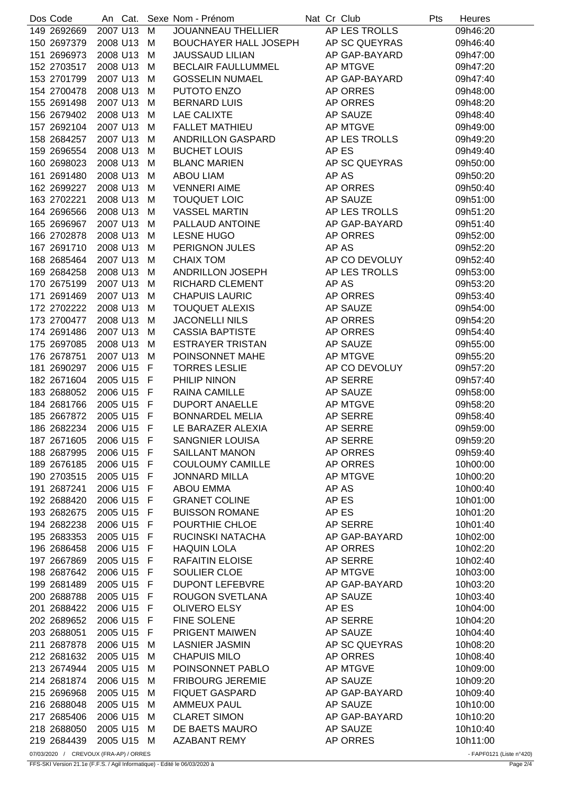| Dos Code    |          | An Cat.    |     | Sexe Nom - Prénom            | Nat Cr Club     | Pts | Heures   |
|-------------|----------|------------|-----|------------------------------|-----------------|-----|----------|
| 149 2692669 | 2007 U13 |            | M   | <b>JOUANNEAU THELLIER</b>    | AP LES TROLLS   |     | 09h46:20 |
| 150 2697379 | 2008 U13 |            | M   | <b>BOUCHAYER HALL JOSEPH</b> | AP SC QUEYRAS   |     | 09h46:40 |
| 151 2696973 | 2008 U13 |            | M   | <b>JAUSSAUD LILIAN</b>       | AP GAP-BAYARD   |     | 09h47:00 |
| 152 2703517 | 2008 U13 |            | М   | <b>BECLAIR FAULLUMMEL</b>    | <b>AP MTGVE</b> |     | 09h47:20 |
| 153 2701799 | 2007 U13 |            | M   | <b>GOSSELIN NUMAEL</b>       | AP GAP-BAYARD   |     | 09h47:40 |
| 154 2700478 | 2008 U13 |            | М   | PUTOTO ENZO                  | AP ORRES        |     | 09h48:00 |
| 155 2691498 | 2007 U13 |            | М   | <b>BERNARD LUIS</b>          | AP ORRES        |     | 09h48:20 |
| 156 2679402 | 2008 U13 |            | M   | <b>LAE CALIXTE</b>           | AP SAUZE        |     | 09h48:40 |
| 157 2692104 | 2007 U13 |            | M   | <b>FALLET MATHIEU</b>        | AP MTGVE        |     | 09h49:00 |
| 158 2684257 | 2007 U13 |            | М   | ANDRILLON GASPARD            | AP LES TROLLS   |     | 09h49:20 |
| 159 2696554 | 2008 U13 |            | M   | <b>BUCHET LOUIS</b>          | AP ES           |     | 09h49:40 |
| 160 2698023 | 2008 U13 |            | М   | <b>BLANC MARIEN</b>          | AP SC QUEYRAS   |     | 09h50:00 |
| 161 2691480 | 2008 U13 |            | M   | <b>ABOU LIAM</b>             | AP AS           |     | 09h50:20 |
| 162 2699227 | 2008 U13 |            | M   | <b>VENNERI AIME</b>          | AP ORRES        |     | 09h50:40 |
| 163 2702221 | 2008 U13 |            | М   | <b>TOUQUET LOIC</b>          | AP SAUZE        |     | 09h51:00 |
| 164 2696566 | 2008 U13 |            | M   | <b>VASSEL MARTIN</b>         | AP LES TROLLS   |     | 09h51:20 |
| 165 2696967 | 2007 U13 |            | М   | PALLAUD ANTOINE              | AP GAP-BAYARD   |     | 09h51:40 |
| 166 2702878 | 2008 U13 |            | M   | <b>LESNE HUGO</b>            | AP ORRES        |     | 09h52:00 |
| 167 2691710 | 2008 U13 |            | M   | PERIGNON JULES               | AP AS           |     | 09h52:20 |
| 168 2685464 | 2007 U13 |            | M   | <b>CHAIX TOM</b>             | AP CO DEVOLUY   |     | 09h52:40 |
| 169 2684258 | 2008 U13 |            |     | ANDRILLON JOSEPH             | AP LES TROLLS   |     | 09h53:00 |
|             | 2007 U13 |            | M   | RICHARD CLEMENT              | AP AS           |     |          |
| 170 2675199 |          |            | М   |                              |                 |     | 09h53:20 |
| 171 2691469 | 2007 U13 |            | М   | <b>CHAPUIS LAURIC</b>        | AP ORRES        |     | 09h53:40 |
| 172 2702222 | 2008 U13 |            | M   | <b>TOUQUET ALEXIS</b>        | AP SAUZE        |     | 09h54:00 |
| 173 2700477 | 2008 U13 |            | М   | <b>JACONELLI NILS</b>        | AP ORRES        |     | 09h54:20 |
| 174 2691486 | 2007 U13 |            | M   | <b>CASSIA BAPTISTE</b>       | AP ORRES        |     | 09h54:40 |
| 175 2697085 | 2008 U13 |            | M   | <b>ESTRAYER TRISTAN</b>      | AP SAUZE        |     | 09h55:00 |
| 176 2678751 | 2007 U13 |            | М   | POINSONNET MAHE              | AP MTGVE        |     | 09h55:20 |
| 181 2690297 | 2006 U15 |            | F   | <b>TORRES LESLIE</b>         | AP CO DEVOLUY   |     | 09h57:20 |
| 182 2671604 | 2005 U15 |            | - F | PHILIP NINON                 | AP SERRE        |     | 09h57:40 |
| 183 2688052 |          | 2006 U15 F |     | RAINA CAMILLE                | AP SAUZE        |     | 09h58:00 |
| 184 2681766 |          | 2005 U15 F |     | <b>DUPORT ANAELLE</b>        | AP MTGVE        |     | 09h58:20 |
| 185 2667872 | 2005 U15 |            | - F | <b>BONNARDEL MELIA</b>       | AP SERRE        |     | 09h58:40 |
| 186 2682234 |          | 2006 U15 F |     | LE BARAZER ALEXIA            | <b>AP SERRE</b> |     | 09h59:00 |
| 187 2671605 |          | 2006 U15 F |     | <b>SANGNIER LOUISA</b>       | AP SERRE        |     | 09h59:20 |
| 188 2687995 |          | 2006 U15 F |     | <b>SAILLANT MANON</b>        | AP ORRES        |     | 09h59:40 |
| 189 2676185 |          | 2006 U15 F |     | <b>COULOUMY CAMILLE</b>      | AP ORRES        |     | 10h00:00 |
| 190 2703515 |          | 2005 U15 F |     | <b>JONNARD MILLA</b>         | AP MTGVE        |     | 10h00:20 |
| 191 2687241 |          | 2006 U15 F |     | <b>ABOU EMMA</b>             | AP AS           |     | 10h00:40 |
| 192 2688420 |          | 2006 U15 F |     | <b>GRANET COLINE</b>         | AP ES           |     | 10h01:00 |
| 193 2682675 |          | 2005 U15 F |     | <b>BUISSON ROMANE</b>        | AP ES           |     | 10h01:20 |
| 194 2682238 |          | 2006 U15 F |     | POURTHIE CHLOE               | AP SERRE        |     | 10h01:40 |
| 195 2683353 |          | 2005 U15 F |     | RUCINSKI NATACHA             | AP GAP-BAYARD   |     | 10h02:00 |
| 196 2686458 |          | 2006 U15 F |     | <b>HAQUIN LOLA</b>           | AP ORRES        |     | 10h02:20 |
| 197 2667869 | 2005 U15 |            | - F | <b>RAFAITIN ELOISE</b>       | AP SERRE        |     | 10h02:40 |
| 198 2687642 |          | 2006 U15 F |     | SOULIER CLOE                 | AP MTGVE        |     | 10h03:00 |
| 199 2681489 |          | 2005 U15 F |     | <b>DUPONT LEFEBVRE</b>       | AP GAP-BAYARD   |     | 10h03:20 |
| 200 2688788 |          | 2005 U15 F |     | ROUGON SVETLANA              | AP SAUZE        |     | 10h03:40 |
| 201 2688422 | 2006 U15 |            | - F | <b>OLIVERO ELSY</b>          | AP ES           |     | 10h04:00 |
| 202 2689652 | 2006 U15 |            | - F | FINE SOLENE                  | AP SERRE        |     | 10h04:20 |
| 203 2688051 | 2005 U15 |            | F   | PRIGENT MAIWEN               | AP SAUZE        |     | 10h04:40 |
| 211 2687878 | 2006 U15 |            | M   | <b>LASNIER JASMIN</b>        | AP SC QUEYRAS   |     | 10h08:20 |
| 212 2681632 | 2005 U15 |            | М   | <b>CHAPUIS MILO</b>          | AP ORRES        |     | 10h08:40 |
| 213 2674944 | 2005 U15 |            | М   | POINSONNET PABLO             | AP MTGVE        |     | 10h09:00 |
| 214 2681874 | 2006 U15 |            | М   | <b>FRIBOURG JEREMIE</b>      | AP SAUZE        |     | 10h09:20 |
| 215 2696968 | 2005 U15 |            | M   | <b>FIQUET GASPARD</b>        | AP GAP-BAYARD   |     | 10h09:40 |
| 216 2688048 | 2005 U15 |            | М   | <b>AMMEUX PAUL</b>           | AP SAUZE        |     | 10h10:00 |
| 217 2685406 | 2006 U15 |            | М   | <b>CLARET SIMON</b>          | AP GAP-BAYARD   |     | 10h10:20 |
| 218 2688050 | 2005 U15 |            | м   | DE BAETS MAURO               | AP SAUZE        |     | 10h10:40 |
| 219 2684439 |          | 2005 U15   | М   | <b>AZABANT REMY</b>          | AP ORRES        |     | 10h11:00 |

07/03/2020 / CREVOUX (FRA-AP) / ORRES - FAPF0121 (Liste n°420)

FFS-SKI Version 21.1e (F.F.S. / Agil Informatique) - Edité le 06/03/2020 à Page 2/4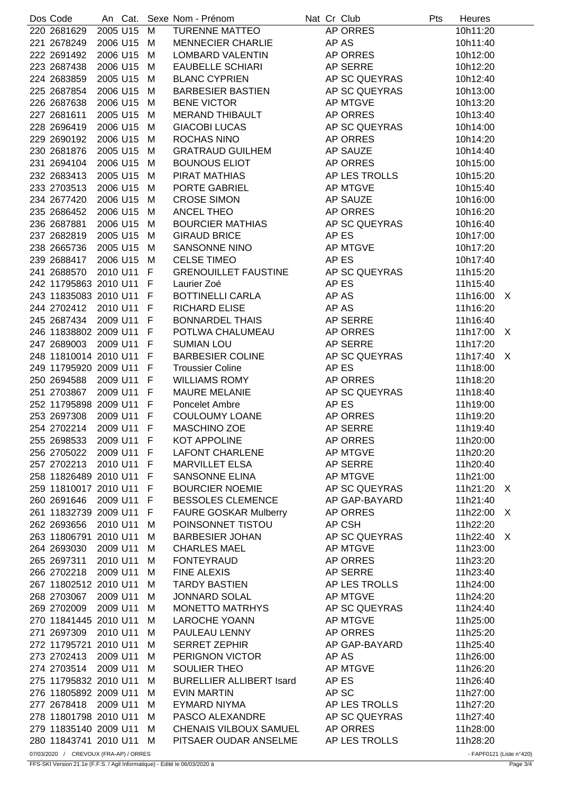| Dos Code                |          |            |              | An Cat. Sexe Nom - Prénom       |  | Nat Cr Club     | Pts | Heures     |  |
|-------------------------|----------|------------|--------------|---------------------------------|--|-----------------|-----|------------|--|
| 220 2681629             | 2005 U15 |            | M            | <b>TURENNE MATTEO</b>           |  | AP ORRES        |     | 10h11:20   |  |
| 221 2678249             | 2006 U15 |            | M            | <b>MENNECIER CHARLIE</b>        |  | AP AS           |     | 10h11:40   |  |
| 222 2691492             | 2006 U15 |            | M            | <b>LOMBARD VALENTIN</b>         |  | AP ORRES        |     | 10h12:00   |  |
| 223 2687438             | 2006 U15 |            | M            | <b>EAUBELLE SCHIARI</b>         |  | AP SERRE        |     | 10h12:20   |  |
| 224 2683859             | 2005 U15 |            | M            | <b>BLANC CYPRIEN</b>            |  | AP SC QUEYRAS   |     | 10h12:40   |  |
| 225 2687854             | 2006 U15 |            | M            | <b>BARBESIER BASTIEN</b>        |  | AP SC QUEYRAS   |     | 10h13:00   |  |
| 226 2687638             | 2006 U15 |            | M            | <b>BENE VICTOR</b>              |  | AP MTGVE        |     | 10h13:20   |  |
| 227 2681611             | 2005 U15 |            | M            | MERAND THIBAULT                 |  | AP ORRES        |     | 10h13:40   |  |
| 228 2696419             | 2006 U15 |            | M            | <b>GIACOBI LUCAS</b>            |  | AP SC QUEYRAS   |     | 10h14:00   |  |
| 229 2690192             | 2006 U15 |            | M            | ROCHAS NINO                     |  | AP ORRES        |     | 10h14:20   |  |
| 230 2681876             | 2005 U15 |            | M            | <b>GRATRAUD GUILHEM</b>         |  | AP SAUZE        |     | 10h14:40   |  |
| 231 2694104             | 2006 U15 |            | M            | <b>BOUNOUS ELIOT</b>            |  | AP ORRES        |     | 10h15:00   |  |
|                         |          |            |              |                                 |  |                 |     |            |  |
| 232 2683413             | 2005 U15 |            | M            | PIRAT MATHIAS                   |  | AP LES TROLLS   |     | 10h15:20   |  |
| 233 2703513             | 2006 U15 |            | M            | PORTE GABRIEL                   |  | AP MTGVE        |     | 10h15:40   |  |
| 234 2677420             | 2006 U15 |            | M            | <b>CROSE SIMON</b>              |  | AP SAUZE        |     | 10h16:00   |  |
| 235 2686452             | 2006 U15 |            | M            | ANCEL THEO                      |  | AP ORRES        |     | 10h16:20   |  |
| 236 2687881             | 2006 U15 |            | M            | <b>BOURCIER MATHIAS</b>         |  | AP SC QUEYRAS   |     | 10h16:40   |  |
| 237 2682819             | 2005 U15 |            | M            | <b>GIRAUD BRICE</b>             |  | AP ES           |     | 10h17:00   |  |
| 238 2665736             | 2005 U15 |            | M            | SANSONNE NINO                   |  | AP MTGVE        |     | 10h17:20   |  |
| 239 2688417             | 2006 U15 |            | M            | <b>CELSE TIMEO</b>              |  | AP ES           |     | 10h17:40   |  |
| 241 2688570             | 2010 U11 |            | F.           | <b>GRENOUILLET FAUSTINE</b>     |  | AP SC QUEYRAS   |     | 11h15:20   |  |
| 242 11795863 2010 U11   |          |            | $\mathsf{F}$ | Laurier Zoé                     |  | AP ES           |     | 11h15:40   |  |
| 243 11835083 2010 U11 F |          |            |              | <b>BOTTINELLI CARLA</b>         |  | AP AS           |     | 11h16:00 X |  |
| 244 2702412             |          | 2010 U11 F |              | <b>RICHARD ELISE</b>            |  | AP AS           |     | 11h16:20   |  |
| 245 2687434             | 2009 U11 |            | F            | <b>BONNARDEL THAIS</b>          |  | AP SERRE        |     | 11h16:40   |  |
| 246 11838802 2009 U11   |          |            | F            | POTLWA CHALUMEAU                |  | AP ORRES        |     | 11h17:00 X |  |
| 247 2689003             | 2009 U11 |            | -F           | <b>SUMIAN LOU</b>               |  | AP SERRE        |     | 11h17:20   |  |
| 248 11810014 2010 U11   |          |            | F            | <b>BARBESIER COLINE</b>         |  | AP SC QUEYRAS   |     | 11h17:40 X |  |
| 249 11795920 2009 U11   |          |            | F            | <b>Troussier Coline</b>         |  | AP ES           |     | 11h18:00   |  |
| 250 2694588             | 2009 U11 |            | F            | <b>WILLIAMS ROMY</b>            |  | AP ORRES        |     | 11h18:20   |  |
| 251 2703867             | 2009 U11 |            | $\mathsf{F}$ | <b>MAURE MELANIE</b>            |  | AP SC QUEYRAS   |     | 11h18:40   |  |
| 252 11795898 2009 U11 F |          |            |              | Poncelet Ambre                  |  | AP ES           |     | 11h19:00   |  |
| 253 2697308             |          | 2009 U11 F |              | <b>COULOUMY LOANE</b>           |  | AP ORRES        |     | 11h19:20   |  |
| 254 2702214             |          | 2009 U11 F |              | MASCHINO ZOE                    |  | AP SERRE        |     | 11h19:40   |  |
|                         |          | 2009 U11 F |              | KOT APPOLINE                    |  |                 |     |            |  |
| 255 2698533             |          |            |              |                                 |  | AP ORRES        |     | 11h20:00   |  |
| 256 2705022             | 2009 U11 |            | F            | <b>LAFONT CHARLENE</b>          |  | <b>AP MTGVE</b> |     | 11h20:20   |  |
| 257 2702213             | 2010 U11 |            | F.           | <b>MARVILLET ELSA</b>           |  | AP SERRE        |     | 11h20:40   |  |
| 258 11826489 2010 U11   |          |            | F            | SANSONNE ELINA                  |  | AP MTGVE        |     | 11h21:00   |  |
| 259 11810017 2010 U11 F |          |            |              | <b>BOURCIER NOEMIE</b>          |  | AP SC QUEYRAS   |     | 11h21:20 X |  |
| 260 2691646             | 2009 U11 |            | - F          | <b>BESSOLES CLEMENCE</b>        |  | AP GAP-BAYARD   |     | 11h21:40   |  |
| 261 11832739 2009 U11   |          |            | F.           | <b>FAURE GOSKAR Mulberry</b>    |  | AP ORRES        |     | 11h22:00 X |  |
| 262 2693656             | 2010 U11 |            | M            | POINSONNET TISTOU               |  | AP CSH          |     | 11h22:20   |  |
| 263 11806791 2010 U11   |          |            | M            | <b>BARBESIER JOHAN</b>          |  | AP SC QUEYRAS   |     | 11h22:40 X |  |
| 264 2693030             | 2009 U11 |            | M            | <b>CHARLES MAEL</b>             |  | <b>AP MTGVE</b> |     | 11h23:00   |  |
| 265 2697311             | 2010 U11 |            | M            | <b>FONTEYRAUD</b>               |  | AP ORRES        |     | 11h23:20   |  |
| 266 2702218             | 2009 U11 |            | M            | <b>FINE ALEXIS</b>              |  | AP SERRE        |     | 11h23:40   |  |
| 267 11802512 2010 U11   |          |            | M            | <b>TARDY BASTIEN</b>            |  | AP LES TROLLS   |     | 11h24:00   |  |
| 268 2703067             | 2009 U11 |            | M            | <b>JONNARD SOLAL</b>            |  | AP MTGVE        |     | 11h24:20   |  |
| 269 2702009             | 2009 U11 |            | M            | <b>MONETTO MATRHYS</b>          |  | AP SC QUEYRAS   |     | 11h24:40   |  |
| 270 11841445 2010 U11   |          |            | M            | <b>LAROCHE YOANN</b>            |  | AP MTGVE        |     | 11h25:00   |  |
| 271 2697309             | 2010 U11 |            | M            | PAULEAU LENNY                   |  | AP ORRES        |     | 11h25:20   |  |
| 272 11795721 2010 U11   |          |            | M            | <b>SERRET ZEPHIR</b>            |  | AP GAP-BAYARD   |     | 11h25:40   |  |
| 273 2702413             | 2009 U11 |            | M            | PERIGNON VICTOR                 |  | AP AS           |     | 11h26:00   |  |
| 274 2703514             | 2009 U11 |            | M            | SOULIER THEO                    |  | <b>AP MTGVE</b> |     | 11h26:20   |  |
| 275 11795832 2010 U11   |          |            | M            | <b>BURELLIER ALLIBERT Isard</b> |  | AP ES           |     | 11h26:40   |  |
| 276 11805892 2009 U11   |          |            | M            | <b>EVIN MARTIN</b>              |  | AP SC           |     | 11h27:00   |  |
| 277 2678418             | 2009 U11 |            |              | EYMARD NIYMA                    |  | AP LES TROLLS   |     | 11h27:20   |  |
|                         |          |            | M            |                                 |  |                 |     |            |  |
| 278 11801798 2010 U11   |          |            | M            | PASCO ALEXANDRE                 |  | AP SC QUEYRAS   |     | 11h27:40   |  |
| 279 11835140 2009 U11   |          |            | M            | CHENAIS VILBOUX SAMUEL          |  | AP ORRES        |     | 11h28:00   |  |
| 280 11843741 2010 U11   |          |            | М            | PITSAER OUDAR ANSELME           |  | AP LES TROLLS   |     | 11h28:20   |  |

07/03/2020 / CREVOUX (FRA-AP) / ORRES - FAPF0121 (Liste n°420)

FFS-SKI Version 21.1e (F.F.S. / Agil Informatique) - Edité le 06/03/2020 à Page 3/4